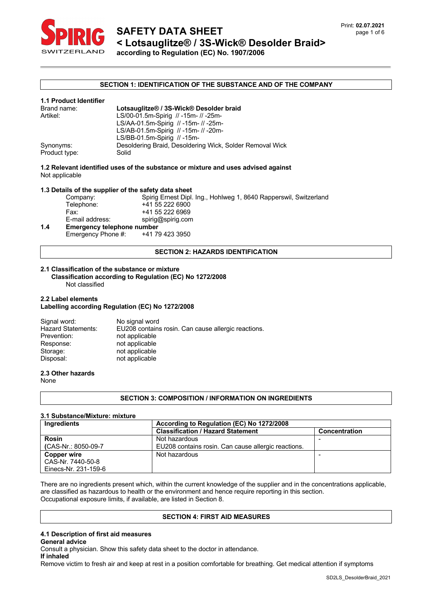

#### **SECTION 1: IDENTIFICATION OF THE SUBSTANCE AND OF THE COMPANY**

| <b>1.1 Product Identifier</b> |                                                                   |
|-------------------------------|-------------------------------------------------------------------|
| Brand name:                   | Lotsauglitze® / 3S-Wick® Desolder braid                           |
| Artikel:                      | LS/00-01.5m-Spirig // -15m- // -25m-                              |
|                               | LS/AA-01.5m-Spirig // -15m- // -25m-                              |
|                               | LS/AB-01.5m-Spirig // -15m- // -20m-                              |
|                               | LS/BB-01.5m-Spirig $// -15m-$                                     |
| Synonyms:<br>Product type:    | Desoldering Braid, Desoldering Wick, Solder Removal Wick<br>Solid |

**1.2 Relevant identified uses of the substance or mixture and uses advised against** Not applicable

**1.3 Details of the supplier of the safety data sheet** Company: Spirig Ernest Dipl. Ing., Hohlweg 1, 8640 Rapperswil, Switzerland<br>Telephone: +41 55 222 6900 +41 55 222 6900 Fax: +41 55 222 6969 E-mail address: spirig@spirig.com **1.4 Emergency telephone number** Emergency Phone #: +41 79 423 3950

#### **SECTION 2: HAZARDS IDENTIFICATION**

#### **2.1 Classification of the substance or mixture**

 **Classification according to Regulation (EC) No 1272/2008** Not classified

#### **2.2 Label elements**

#### **Labelling according Regulation (EC) No 1272/2008**

| No signal word                                      |
|-----------------------------------------------------|
| EU208 contains rosin. Can cause allergic reactions. |
| not applicable                                      |
| not applicable                                      |
| not applicable                                      |
| not applicable                                      |
|                                                     |

# **2.3 Other hazards**

None

#### **SECTION 3: COMPOSITION / INFORMATION ON INGREDIENTS**

#### **3.1 Substance/Mixture: mixture**

| Ingredients          | According to Regulation (EC) No 1272/2008           |                      |  |
|----------------------|-----------------------------------------------------|----------------------|--|
|                      | <b>Classification / Hazard Statement</b>            | <b>Concentration</b> |  |
| <b>Rosin</b>         | Not hazardous                                       |                      |  |
| (CAS-Nr.: 8050-09-7  | EU208 contains rosin. Can cause allergic reactions. |                      |  |
| <b>Copper wire</b>   | Not hazardous                                       |                      |  |
| CAS-Nr. 7440-50-8    |                                                     |                      |  |
| Einecs-Nr. 231-159-6 |                                                     |                      |  |

There are no ingredients present which, within the current knowledge of the supplier and in the concentrations applicable, are classified as hazardous to health or the environment and hence require reporting in this section. Occupational exposure limits, if available, are listed in Section 8.

#### **SECTION 4: FIRST AID MEASURES**

# **4.1 Description of first aid measures**

#### **General advice**

Consult a physician. Show this safety data sheet to the doctor in attendance.

**If inhaled**

Remove victim to fresh air and keep at rest in a position comfortable for breathing. Get medical attention if symptoms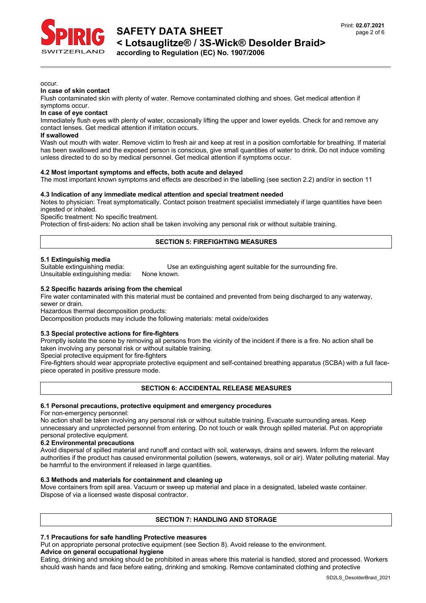

occur.

#### **In case of skin contact**

Flush contaminated skin with plenty of water. Remove contaminated clothing and shoes. Get medical attention if symptoms occur.

#### **In case of eye contact**

Immediately flush eyes with plenty of water, occasionally lifting the upper and lower eyelids. Check for and remove any contact lenses. Get medical attention if irritation occurs.

#### **If swallowed**

Wash out mouth with water. Remove victim to fresh air and keep at rest in a position comfortable for breathing. If material has been swallowed and the exposed person is conscious, give small quantities of water to drink. Do not induce vomiting unless directed to do so by medical personnel. Get medical attention if symptoms occur.

#### **4.2 Most important symptoms and effects, both acute and delayed**

The most important known symptoms and effects are described in the labelling (see section 2.2) and/or in section 11

#### **4.3 Indication of any immediate medical attention and special treatment needed**

Notes to physician: Treat symptomatically. Contact poison treatment specialist immediately if large quantities have been ingested or inhaled.

Specific treatment: No specific treatment.

Protection of first-aiders: No action shall be taken involving any personal risk or without suitable training.

## **SECTION 5: FIREFIGHTING MEASURES**

#### **5.1 Extinguishig media**

Unsuitable extinguishing media: None known.

Suitable extinguishing media: Use an extinguishing agent suitable for the surrounding fire.

#### **5.2 Specific hazards arising from the chemical**

Fire water contaminated with this material must be contained and prevented from being discharged to any waterway,

sewer or drain.

Hazardous thermal decomposition products:

Decomposition products may include the following materials: metal oxide/oxides

#### **5.3 Special protective actions for fire-fighters**

Promptly isolate the scene by removing all persons from the vicinity of the incident if there is a fire. No action shall be taken involving any personal risk or without suitable training.

Special protective equipment for fire-fighters

Fire-fighters should wear appropriate protective equipment and self-contained breathing apparatus (SCBA) with a full facepiece operated in positive pressure mode.

**SECTION 6: ACCIDENTAL RELEASE MEASURES**

#### **6.1 Personal precautions, protective equipment and emergency procedures**

For non-emergency personnel:

No action shall be taken involving any personal risk or without suitable training. Evacuate surrounding areas. Keep unnecessary and unprotected personnel from entering. Do not touch or walk through spilled material. Put on appropriate personal protective equipment.

#### **6.2 Environmental precautions**

Avoid dispersal of spilled material and runoff and contact with soil, waterways, drains and sewers. Inform the relevant authorities if the product has caused environmental pollution (sewers, waterways, soil or air). Water polluting material. May be harmful to the environment if released in large quantities.

#### **6.3 Methods and materials for containment and cleaning up**

Move containers from spill area. Vacuum or sweep up material and place in a designated, labeled waste container. Dispose of via a licensed waste disposal contractor.

# **SECTION 7: HANDLING AND STORAGE**

# **7.1 Precautions for safe handling Protective measures**

Put on appropriate personal protective equipment (see Section 8). Avoid release to the environment. **Advice on general occupational hygiene**

Eating, drinking and smoking should be prohibited in areas where this material is handled, stored and processed. Workers should wash hands and face before eating, drinking and smoking. Remove contaminated clothing and protective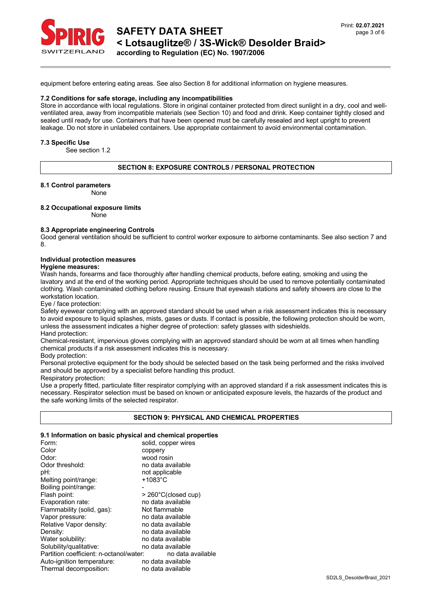

# **SAFETY DATA SHEET < Lotsauglitze® / 3S-Wick® Desolder Braid> according to Regulation (EC) No. 1907/2006**

equipment before entering eating areas. See also Section 8 for additional information on hygiene measures.

#### **7.2 Conditions for safe storage, including any incompatibilities**

Store in accordance with local regulations. Store in original container protected from direct sunlight in a dry, cool and wellventilated area, away from incompatible materials (see Section 10) and food and drink. Keep container tightly closed and sealed until ready for use. Containers that have been opened must be carefully resealed and kept upright to prevent leakage. Do not store in unlabeled containers. Use appropriate containment to avoid environmental contamination.

#### **7.3 Specific Use**

See section 1.2

#### **SECTION 8: EXPOSURE CONTROLS / PERSONAL PROTECTION**

**8.1 Control parameters**

None

#### **8.2 Occupational exposure limits**

None

#### **8.3 Appropriate engineering Controls**

Good general ventilation should be sufficient to control worker exposure to airborne contaminants. See also section 7 and 8.

# **Individual protection measures**

**Hygiene measures:** 

Wash hands, forearms and face thoroughly after handling chemical products, before eating, smoking and using the lavatory and at the end of the working period. Appropriate techniques should be used to remove potentially contaminated clothing. Wash contaminated clothing before reusing. Ensure that eyewash stations and safety showers are close to the workstation location.

Eye / face protection:

Safety eyewear complying with an approved standard should be used when a risk assessment indicates this is necessary to avoid exposure to liquid splashes, mists, gases or dusts. If contact is possible, the following protection should be worn, unless the assessment indicates a higher degree of protection: safety glasses with sideshields. Hand protection:

Chemical-resistant, impervious gloves complying with an approved standard should be worn at all times when handling chemical products if a risk assessment indicates this is necessary.

Body protection:

Personal protective equipment for the body should be selected based on the task being performed and the risks involved and should be approved by a specialist before handling this product.

Respiratory protection:

Use a properly fitted, particulate filter respirator complying with an approved standard if a risk assessment indicates this is necessary. Respirator selection must be based on known or anticipated exposure levels, the hazards of the product and the safe working limits of the selected respirator.

#### **SECTION 9: PHYSICAL AND CHEMICAL PROPERTIES**

### **9.1 Information on basic physical and chemical properties**

| Form:                                   | solid, copper wires |  |  |  |  |
|-----------------------------------------|---------------------|--|--|--|--|
| Color                                   | coppery             |  |  |  |  |
| Odor:                                   | wood rosin          |  |  |  |  |
| Odor threshold:                         | no data available   |  |  |  |  |
| pH:                                     | not applicable      |  |  |  |  |
| Melting point/range:                    | $+1083$ °C          |  |  |  |  |
| Boiling point/range:                    |                     |  |  |  |  |
| Flash point:                            | > 260°C(closed cup) |  |  |  |  |
| Evaporation rate:                       | no data available   |  |  |  |  |
| Flammability (solid, gas):              | Not flammable       |  |  |  |  |
| Vapor pressure:                         | no data available   |  |  |  |  |
| Relative Vapor density:                 | no data available   |  |  |  |  |
| Density:                                | no data available   |  |  |  |  |
| Water solubility:                       | no data available   |  |  |  |  |
| Solubility/qualitative:                 | no data available   |  |  |  |  |
| Partition coefficient: n-octanol/water: | no data available   |  |  |  |  |
| Auto-ignition temperature:              | no data available   |  |  |  |  |
| Thermal decomposition:                  | no data available   |  |  |  |  |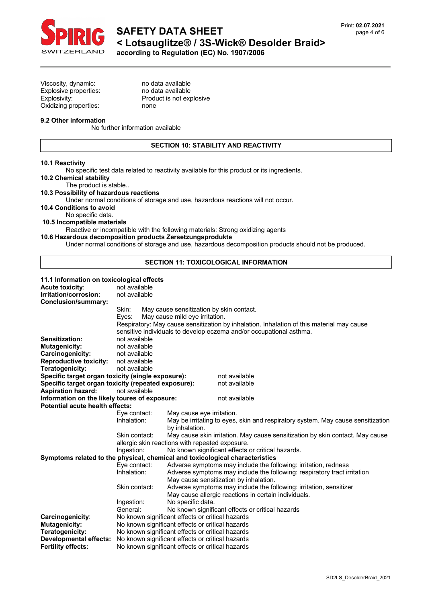

Viscosity, dynamic:<br>
Explosive properties:<br>
no data available Explosive properties: Oxidizing properties: none

Explosivity: Product is not explosive

### **9.2 Other information**

No further information available

# **SECTION 10: STABILITY AND REACTIVITY**

#### **10.1 Reactivity**

No specific test data related to reactivity available for this product or its ingredients.

# **10.2 Chemical stability**

The product is stable..

# **10.3 Possibility of hazardous reactions**

Under normal conditions of storage and use, hazardous reactions will not occur.

**10.4 Conditions to avoid**

No specific data.

**10.5 Incompatible materials**

Reactive or incompatible with the following materials: Strong oxidizing agents **10.6 Hazardous decomposition products Zersetzungsprodukte**

Under normal conditions of storage and use, hazardous decomposition products should not be produced.

# **SECTION 11: TOXICOLOGICAL INFORMATION**

### **11.1 Information on toxicological effects**

| <b>Acute toxicity:</b>                                                       | not available                                                                                                                                     |                                                                                                   |                                                                    |  |  |
|------------------------------------------------------------------------------|---------------------------------------------------------------------------------------------------------------------------------------------------|---------------------------------------------------------------------------------------------------|--------------------------------------------------------------------|--|--|
| Irritation/corrosion:                                                        | not available                                                                                                                                     |                                                                                                   |                                                                    |  |  |
| Conclusion/summary:                                                          |                                                                                                                                                   |                                                                                                   |                                                                    |  |  |
|                                                                              | Skin:                                                                                                                                             | May cause sensitization by skin contact.                                                          |                                                                    |  |  |
|                                                                              | Eves:                                                                                                                                             | May cause mild eye irritation.                                                                    |                                                                    |  |  |
|                                                                              | Respiratory: May cause sensitization by inhalation. Inhalation of this material may cause                                                         |                                                                                                   |                                                                    |  |  |
|                                                                              | sensitive individuals to develop eczema and/or occupational asthma.                                                                               |                                                                                                   |                                                                    |  |  |
| Sensitization:                                                               | not available                                                                                                                                     |                                                                                                   |                                                                    |  |  |
| <b>Mutagenicity:</b>                                                         | not available                                                                                                                                     |                                                                                                   |                                                                    |  |  |
| Carcinogenicity:                                                             | not available                                                                                                                                     |                                                                                                   |                                                                    |  |  |
| <b>Reproductive toxicity:</b>                                                | not available                                                                                                                                     |                                                                                                   |                                                                    |  |  |
| Teratogenicity:                                                              | not available                                                                                                                                     |                                                                                                   |                                                                    |  |  |
| Specific target organ toxicity (single exposure):                            |                                                                                                                                                   |                                                                                                   | not available                                                      |  |  |
|                                                                              | Specific target organ toxicity (repeated exposure):                                                                                               |                                                                                                   | not available                                                      |  |  |
| <b>Aspiration hazard:</b>                                                    | not available                                                                                                                                     |                                                                                                   |                                                                    |  |  |
| Information on the likely toures of exposure:                                |                                                                                                                                                   |                                                                                                   | not available                                                      |  |  |
| Potential acute health effects:                                              |                                                                                                                                                   |                                                                                                   |                                                                    |  |  |
|                                                                              | Eye contact:                                                                                                                                      | May cause eye irritation.                                                                         |                                                                    |  |  |
|                                                                              | Inhalation:                                                                                                                                       | May be irritating to eyes, skin and respiratory system. May cause sensitization<br>by inhalation. |                                                                    |  |  |
|                                                                              | Skin contact:<br>May cause skin irritation. May cause sensitization by skin contact. May cause<br>allergic skin reactions with repeated exposure. |                                                                                                   |                                                                    |  |  |
|                                                                              | No known significant effects or critical hazards.                                                                                                 |                                                                                                   |                                                                    |  |  |
| Symptoms related to the physical, chemical and toxicological characteristics |                                                                                                                                                   |                                                                                                   |                                                                    |  |  |
|                                                                              | Eye contact:                                                                                                                                      |                                                                                                   | Adverse symptoms may include the following: irritation, redness    |  |  |
|                                                                              | Inhalation:                                                                                                                                       | Adverse symptoms may include the following: respiratory tract irritation                          |                                                                    |  |  |
|                                                                              |                                                                                                                                                   | May cause sensitization by inhalation.                                                            |                                                                    |  |  |
|                                                                              | Skin contact:                                                                                                                                     |                                                                                                   | Adverse symptoms may include the following: irritation, sensitizer |  |  |
|                                                                              | May cause allergic reactions in certain individuals.                                                                                              |                                                                                                   |                                                                    |  |  |
|                                                                              | Ingestion:                                                                                                                                        | No specific data.                                                                                 |                                                                    |  |  |
|                                                                              | General:                                                                                                                                          |                                                                                                   | No known significant effects or critical hazards                   |  |  |
| Carcinogenicity:                                                             | No known significant effects or critical hazards                                                                                                  |                                                                                                   |                                                                    |  |  |
| <b>Mutagenicity:</b>                                                         | No known significant effects or critical hazards                                                                                                  |                                                                                                   |                                                                    |  |  |
| <b>Teratogenicity:</b>                                                       | No known significant effects or critical hazards                                                                                                  |                                                                                                   |                                                                    |  |  |
| <b>Developmental effects:</b>                                                | No known significant effects or critical hazards                                                                                                  |                                                                                                   |                                                                    |  |  |
| <b>Fertility effects:</b>                                                    | No known significant effects or critical hazards                                                                                                  |                                                                                                   |                                                                    |  |  |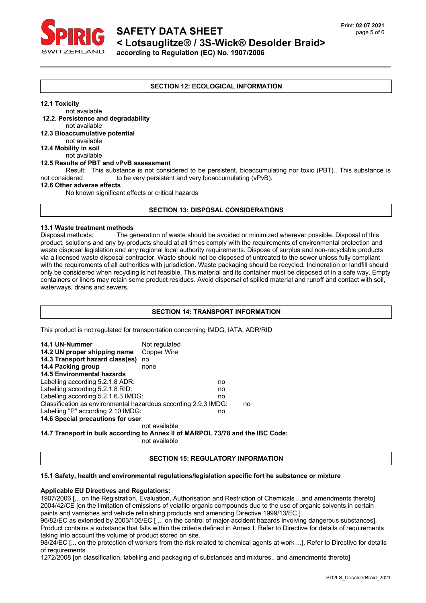

# **SAFETY DATA SHEET < Lotsauglitze® / 3S-Wick® Desolder Braid> according to Regulation (EC) No. 1907/2006**

**SECTION 12: ECOLOGICAL INFORMATION**

**12.1 Toxicity**

not available **12.2. Persistence and degradability** not available **12.3 Bioaccumulative potential** not available **12.4 Mobility in soil** not available **12.5 Results of PBT and vPvB assessment** Result: This substance is not considered to be persistent, bioaccumulating nor toxic (PBT)., This substance is<br>not considered to be very persistent and very bioaccumulating (vPvB) to be very persistent and very bioaccumulating (vPvB). **12.6 Other adverse effects** No known significant effects or critical hazards

# **SECTION 13: DISPOSAL CONSIDERATIONS**

#### **13.1 Waste treatment methods**

Disposal methods: The generation of waste should be avoided or minimized wherever possible. Disposal of this product, solutions and any by-products should at all times comply with the requirements of environmental protection and waste disposal legislation and any regional local authority requirements. Dispose of surplus and non-recyclable products via a licensed waste disposal contractor. Waste should not be disposed of untreated to the sewer unless fully compliant with the requirements of all authorities with jurisdiction. Waste packaging should be recycled. Incineration or landfill should only be considered when recycling is not feasible. This material and its container must be disposed of in a safe way. Empty containers or liners may retain some product residues. Avoid dispersal of spilled material and runoff and contact with soil, waterways, drains and sewers.

# **SECTION 14: TRANSPORT INFORMATION**

This product is not regulated for transportation concerning IMDG, IATA, ADR/RID

| 14.1 UN-Nummer<br>14.2 UN proper shipping name                        | Not regulated<br>Copper Wire |    |  |  |
|-----------------------------------------------------------------------|------------------------------|----|--|--|
| 14.3 Transport hazard class(es)                                       | no                           |    |  |  |
| 14.4 Packing group                                                    | none                         |    |  |  |
| <b>14.5 Environmental hazards</b>                                     |                              |    |  |  |
| Labelling according 5.2.1.8 ADR:                                      |                              | no |  |  |
| Labelling according 5.2.1.8 RID:                                      |                              | no |  |  |
| Labelling according 5.2.1.6.3 IMDG:                                   |                              | no |  |  |
| Classification as environmental hazardous according 2.9.3 IMDG:<br>no |                              |    |  |  |
| Labelling "P" according 2.10 IMDG:                                    |                              | no |  |  |
| 14.6 Special precautions for user                                     |                              |    |  |  |
|                                                                       | not available                |    |  |  |
|                                                                       |                              |    |  |  |

**14.7 Transport in bulk according to Annex II of MARPOL 73/78 and the IBC Code:**

not available

### **SECTION 15: REGULATORY INFORMATION**

#### **15.1 Safety, health and environmental regulations/legislation specific fort he substance or mixture**

#### **Applicable EU Directives and Regulations:**

1907/2006 [... on the Registration, Evaluation, Authorisation and Restriction of Chemicals ...and amendments thereto] 2004/42/CE [on the limitation of emissions of volatile organic compounds due to the use of organic solvents in certain paints and varnishes and vehicle refinishing products and amending Directive 1999/13/EC.]

96/82/EC as extended by 2003/105/EC [ ... on the control of major-accident hazards involving dangerous substances]. Product contains a substance that falls within the criteria defined in Annex I. Refer to Directive for details of requirements taking into account the volume of product stored on site.

98/24/EC [... on the protection of workers from the risk related to chemical agents at work ...]. Refer to Directive for details of requirements.

1272/2008 [on classification, labelling and packaging of substances and mixtures.. and amendments thereto]